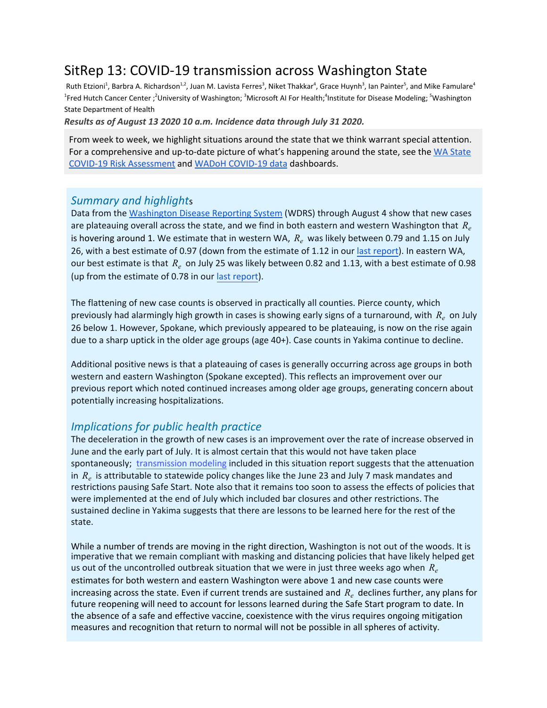# SitRep 13: COVID-19 transmission across Washington State

Ruth Etzioni<sup>1</sup>, Barbra A. Richardson<sup>1,2</sup>, Juan M. Lavista Ferres<sup>3</sup>, Niket Thakkar<sup>4</sup>, Grace Huynh<sup>3</sup>, Ian Painter<sup>5</sup>, and Mike Famulare<sup>4</sup> <sup>1</sup>Fred Hutch Cancer Center ;<sup>2</sup>University of Washington; <sup>3</sup>Microsoft AI For Health;<sup>4</sup>Institute for Disease Modeling; <sup>5</sup>Washington State Department of Health

*Results as of August 13 2020 10 a.m. Incidence data through July 31 2020.*

From week to week, we highlight situations around the state that we think warrant special attention. For a comprehensive and up-to-date picture of what's happening around the state, see the [WA State](https://coronavirus.wa.gov/what-you-need-know/covid-19-risk-assessment-dashboard) [COVID-19 Risk Assessment](https://coronavirus.wa.gov/what-you-need-know/covid-19-risk-assessment-dashboard) and [WADoH COVID-19 data](https://www.doh.wa.gov/Emergencies/NovelCoronavirusOutbreak2020COVID19/DataDashboard) dashboards.

#### *Summary and highlight*s

Data from the [Washington Disease Reporting System](https://www.doh.wa.gov/ForPublicHealthandHealthcareProviders/PublicHealthSystemResourcesandServices/WDRS) (WDRS) through August 4 show that new cases are plateauing overall across the state, and we find in both eastern and western Washington that *R<sup>e</sup>* is hovering around 1. We estimate that in western WA,  $R_e$  was likely between 0.79 and 1.15 on July 26, with a best estimate of 0.97 (down from the estimate of 1.12 in our [last report](https://covid.idmod.org/data/WA_Situation_Report_11_COVID-19_transmission_across_Washington_State.pdf)). In eastern WA, our best estimate is that *R<sup>e</sup>* on July 25 was likely between 0.82 and 1.13, with a best estimate of 0.98 (up from the estimate of 0.78 in our [last report](https://covid.idmod.org/data/WA_Situation_Report_11_COVID-19_transmission_across_Washington_State.pdf)).

The flattening of new case counts is observed in practically all counties. Pierce county, which previously had alarmingly high growth in cases is showing early signs of a turnaround, with *R<sup>e</sup>* on July 26 below 1. However, Spokane, which previously appeared to be plateauing, is now on the rise again due to a sharp uptick in the older age groups (age 40+). Case counts in Yakima continue to decline.

Additional positive news is that a plateauing of cases is generally occurring across age groups in both western and eastern Washington (Spokane excepted). This reflects an improvement over our previous report which noted continued increases among older age groups, generating concern about potentially increasing hospitalizations.

### *Implications for public health practice*

The deceleration in the growth of new cases is an improvement over the rate of increase observed in June and the early part of July. It is almost certain that this would not have taken place spontaneously; [transmission modeling](https://covid.idmod.org/data/One_state_many_outbreaks.pdf) included in this situation report suggests that the attenuation in *R<sup>e</sup>* is attributable to statewide policy changes like the June 23 and July 7 mask mandates and restrictions pausing Safe Start. Note also that it remains too soon to assess the effects of policies that were implemented at the end of July which included bar closures and other restrictions. The sustained decline in Yakima suggests that there are lessons to be learned here for the rest of the state.

While a number of trends are moving in the right direction, Washington is not out of the woods. It is imperative that we remain compliant with masking and distancing policies that have likely helped get us out of the uncontrolled outbreak situation that we were in just three weeks ago when *R<sup>e</sup>* estimates for both western and eastern Washington were above 1 and new case counts were increasing across the state. Even if current trends are sustained and *R<sup>e</sup>* declines further, any plans for future reopening will need to account for lessons learned during the Safe Start program to date. In the absence of a safe and effective vaccine, coexistence with the virus requires ongoing mitigation measures and recognition that return to normal will not be possible in all spheres of activity.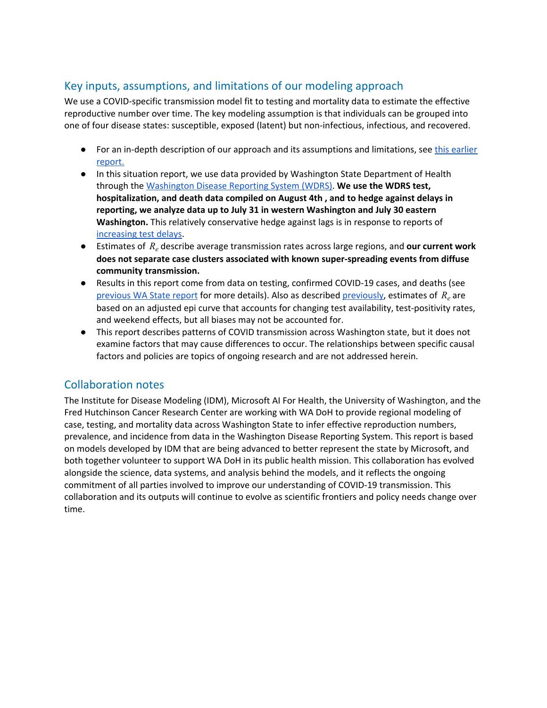## Key inputs, assumptions, and limitations of our modeling approach

We use a COVID-specific transmission model fit to testing and mortality data to estimate the effective reproductive number over time. The key modeling assumption is that individuals can be grouped into one of four disease states: susceptible, exposed (latent) but non-infectious, infectious, and recovered.

- For an in-depth description of our approach and its assumptions and limitations, see this [earlier](https://covid.idmod.org/data/One_state_many_outbreaks.pdf) [report.](https://covid.idmod.org/data/Sustained_reductions_in_transmission_have_led_to_declining_COVID_19_prevalence_in_King_County_WA.pdf)
- In this situation report, we use data provided by Washington State Department of Health through the [Washington](https://www.doh.wa.gov/ForPublicHealthandHealthcareProviders/PublicHealthSystemResourcesandServices/WDRS) Disease Reporting System (WDRS). **We use the WDRS test, hospitalization, and death data compiled on August 4th , and to hedge against delays in reporting, we analyze data up to July 31 in western Washington and July 30 eastern Washington.** This relatively conservative hedge against lags is in response to reports of [increasing](https://www.seattletimes.com/seattle-news/covid-19-test-delays-from-overwhelmed-commercial-labs-hit-washingtons-most-vulnerable-patients-hard/) test delays.
- Estimates of *R<sup>e</sup>* describe average transmission rates across large regions, and **our current work does not separate case clusters associated with known super-spreading events from diffuse community transmission.**
- Results in this report come from data on testing, confirmed COVID-19 cases, and deaths (see [previous](https://covid.idmod.org/data/COVID-19_transmission_patterns_across_Washington_State.pdf) WA State report for more details). Also as described [previously,](https://covid.idmod.org/data/Sustained_reductions_in_transmission_have_led_to_declining_COVID_19_prevalence_in_King_County_WA.pdf) estimates of *R<sup>e</sup>* are based on an adjusted epi curve that accounts for changing test availability, test-positivity rates, and weekend effects, but all biases may not be accounted for.
- This report describes patterns of COVID transmission across Washington state, but it does not examine factors that may cause differences to occur. The relationships between specific causal factors and policies are topics of ongoing research and are not addressed herein.

### Collaboration notes

The Institute for Disease Modeling (IDM), Microsoft AI For Health, the University of Washington, and the Fred Hutchinson Cancer Research Center are working with WA DoH to provide regional modeling of case, testing, and mortality data across Washington State to infer effective reproduction numbers, prevalence, and incidence from data in the Washington Disease Reporting System. This report is based on models developed by IDM that are being advanced to better represent the state by Microsoft, and both together volunteer to support WA DoH in its public health mission. This collaboration has evolved alongside the science, data systems, and analysis behind the models, and it reflects the ongoing commitment of all parties involved to improve our understanding of COVID-19 transmission. This collaboration and its outputs will continue to evolve as scientific frontiers and policy needs change over time.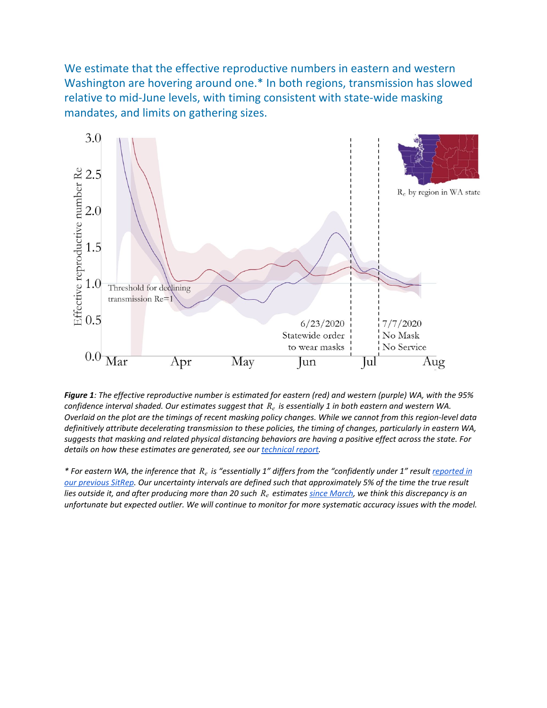We estimate that the effective reproductive numbers in eastern and western Washington are hovering around one.\* In both regions, transmission has slowed relative to mid-June levels, with timing consistent with state-wide masking mandates, and limits on gathering sizes.



Figure 1: The effective reproductive number is estimated for eastern (red) and western (purple) WA, with the 95% confidence interval shaded. Our estimates suggest that  $R_e$  is essentially 1 in both eastern and western WA. Overlaid on the plot are the timings of recent masking policy changes. While we cannot from this region-level data *definitively attribute decelerating transmission to these policies, the timing of changes, particularly in eastern WA,* suggests that masking and related physical distancing behaviors are having a positive effect across the state. For *details on how these estimates are generated, see our [technical](https://covid.idmod.org/data/Sustained_reductions_in_transmission_have_led_to_declining_COVID_19_prevalence_in_King_County_WA.pdf) report.*

\* For eastern WA, the inference that R<sub>e</sub> is "essentially 1" differs from the "confidently under 1" result [reported](https://covid.idmod.org/data/WA_Situation_Report_12_COVID-19_transmission_across_Washington_State.pdf) in our [previous](https://covid.idmod.org/data/WA_Situation_Report_12_COVID-19_transmission_across_Washington_State.pdf) SitRep. Our uncertainty intervals are defined such that approximately 5% of the time the true result lies outside it, and after producing more than 20 such  $R_e$  estimates since [March](https://covid.idmod.org/#/ResearchandReports), we think this discrepancy is an unfortunate but expected outlier. We will continue to monitor for more systematic accuracy issues with the model.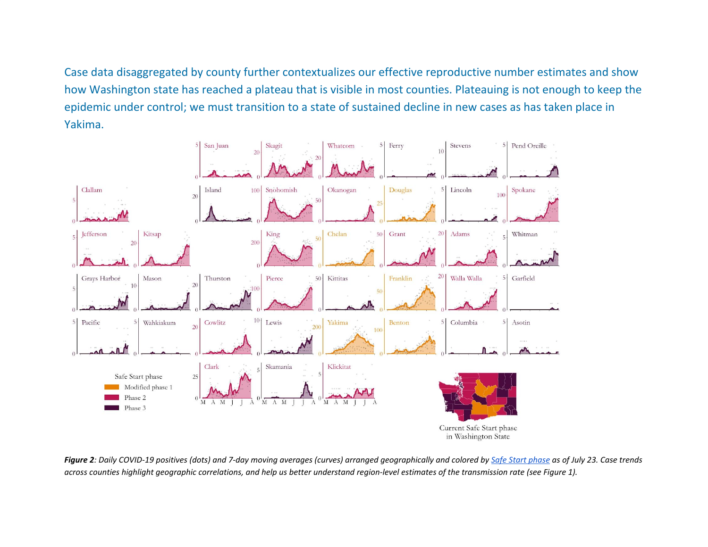Case data disaggregated by county further contextualizes our effective reproductive number estimates and show how Washington state has reached a plateau that is visible in most counties. Plateauing is not enough to keep the epidemic under control; we must transition to a state of sustained decline in new cases as has taken place in Yakima.



Figure 2: Daily COVID-19 positives (dots) and 7-day moving averages (curves) arranged geographically and colored by Safe Start [phase](https://coronavirus.wa.gov/what-you-need-know/county-status-and-safe-start-application-process) as of July 23. Case trends across counties highlight geographic correlations, and help us better understand region-level estimates of the transmission rate (see Figure 1).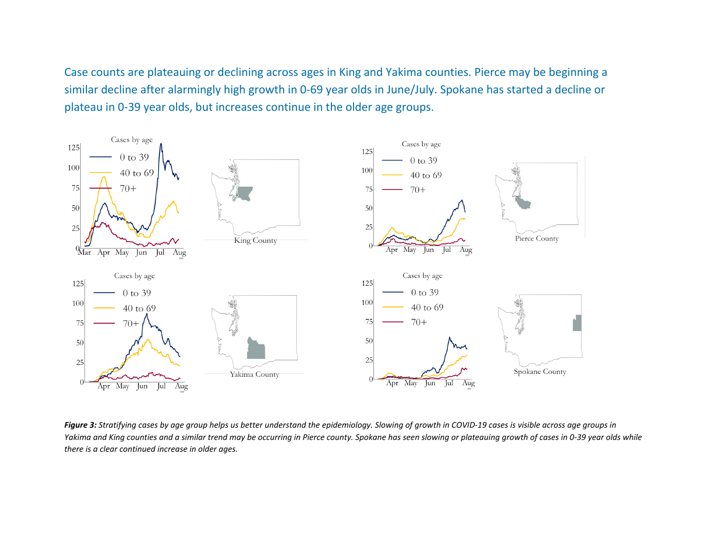Case counts are plateauing or declining across ages in King and Yakima counties. Pierce may be beginning a similar decline after alarmingly high growth in 0-69 year olds in June/July. Spokane has started a decline or plateau in 0-39 year olds, but increases continue in the older age groups.



Figure 3: Stratifying cases by age group helps us better understand the epidemiology. Slowing of growth in COVID-19 cases is visible across age groups in Yakima and King counties and a similar trend may be occurring in Pierce county. Spokane has seen slowing or plateauing growth of cases in 0-39 year olds while *there is a clear continued increase in older ages.*